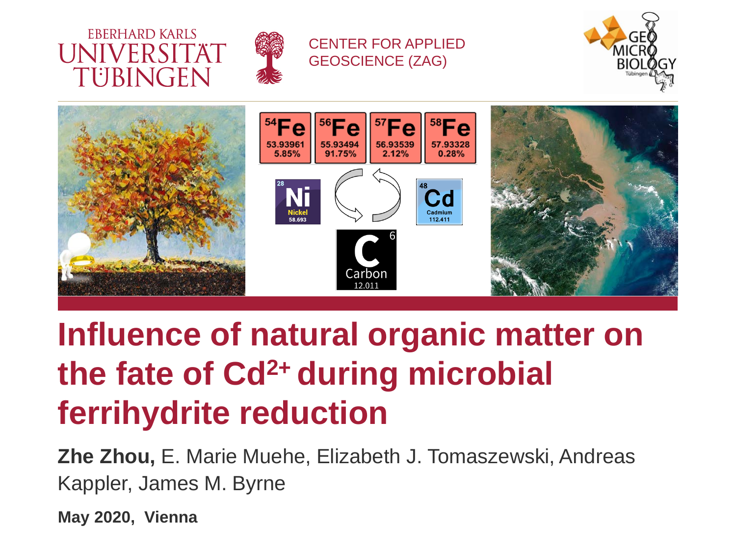



#### CENTER FOR APPLIED GEOSCIENCE (ZAG)





## **Influence of natural organic matter on the fate of Cd2+ during microbial ferrihydrite reduction**

**Zhe Zhou,** E. Marie Muehe, Elizabeth J. Tomaszewski, Andreas Kappler, James M. Byrne

**May 2020, Vienna**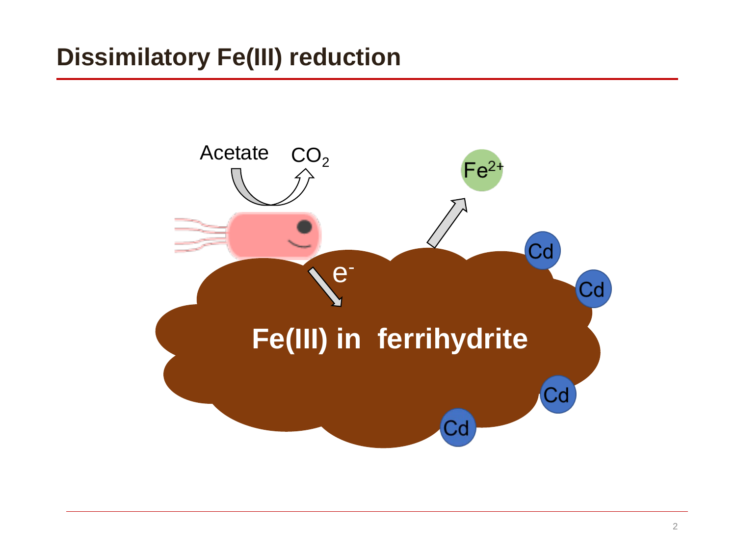### **Dissimilatory Fe(III) reduction**

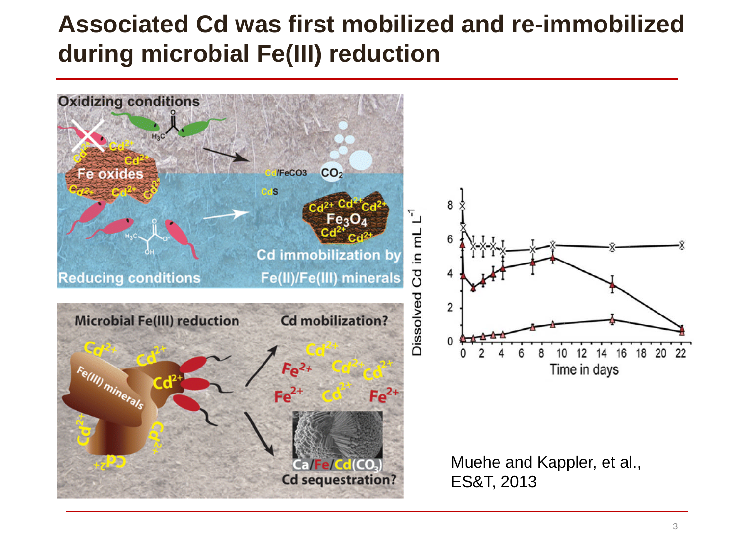#### **Associated Cd was first mobilized and re-immobilized during microbial Fe(III) reduction**

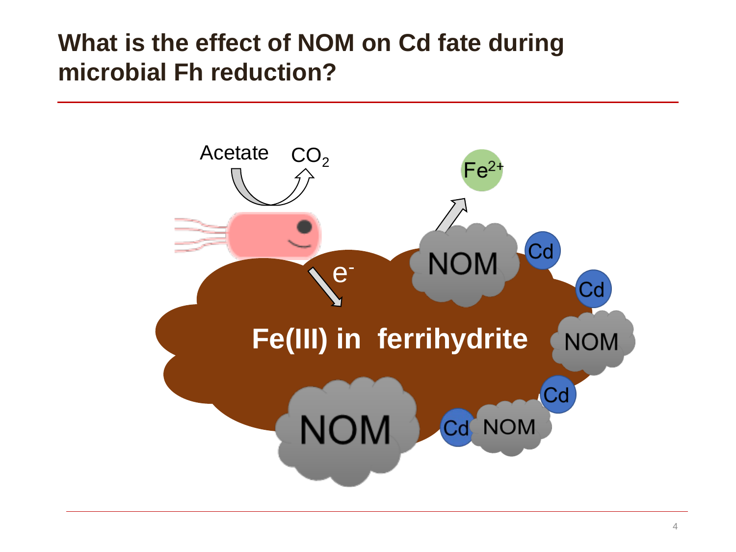#### **What is the effect of NOM on Cd fate during microbial Fh reduction?**

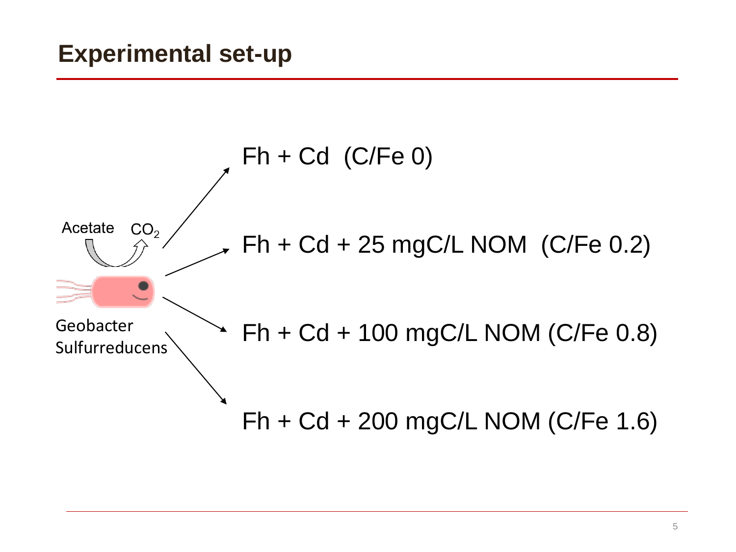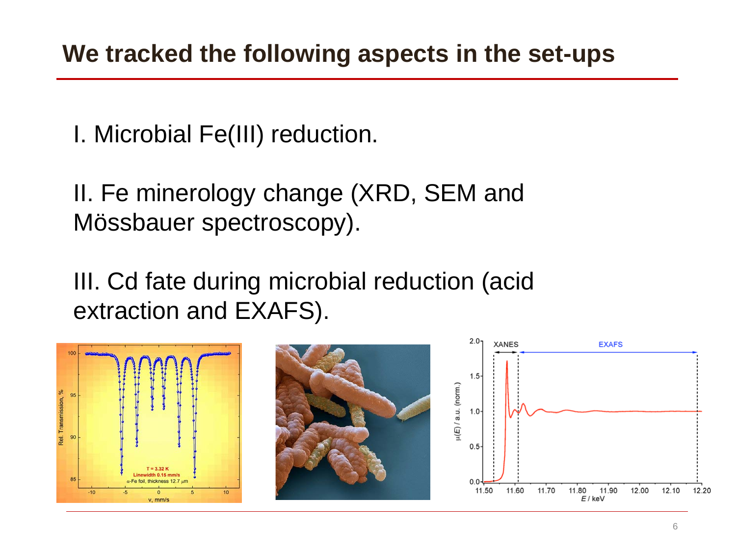I. Microbial Fe(III) reduction.

II. Fe minerology change (XRD, SEM and Mössbauer spectroscopy).

III. Cd fate during microbial reduction (acid extraction and EXAFS).

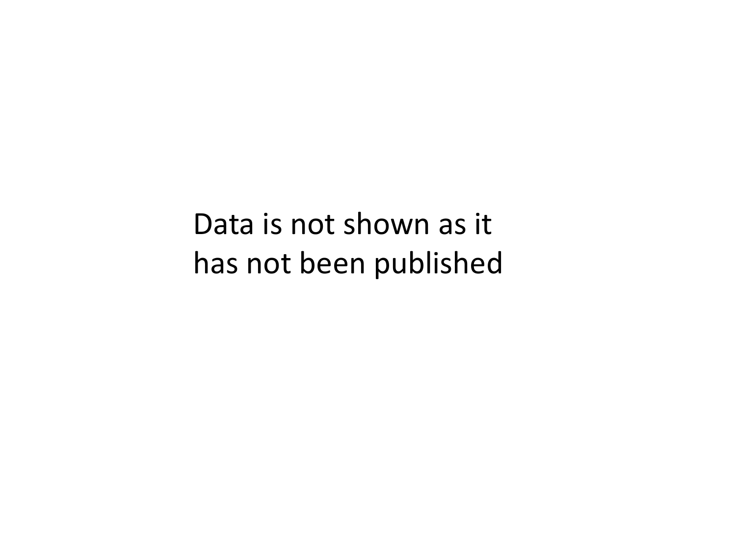Data is not shown as it has not been published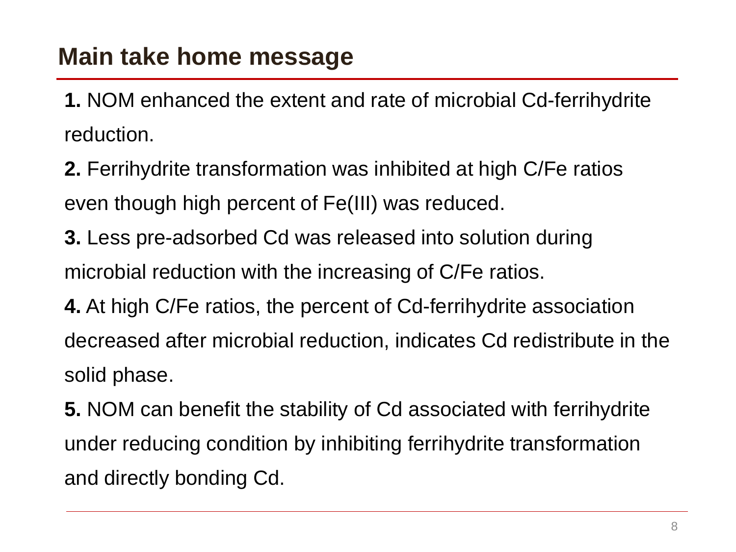#### **Main take home message**

**1.** NOM enhanced the extent and rate of microbial Cd-ferrihydrite reduction.

**2.** Ferrihydrite transformation was inhibited at high C/Fe ratios even though high percent of Fe(III) was reduced.

**3.** Less pre-adsorbed Cd was released into solution during microbial reduction with the increasing of C/Fe ratios.

**4.** At high C/Fe ratios, the percent of Cd-ferrihydrite association decreased after microbial reduction, indicates Cd redistribute in the solid phase.

**5.** NOM can benefit the stability of Cd associated with ferrihydrite under reducing condition by inhibiting ferrihydrite transformation and directly bonding Cd.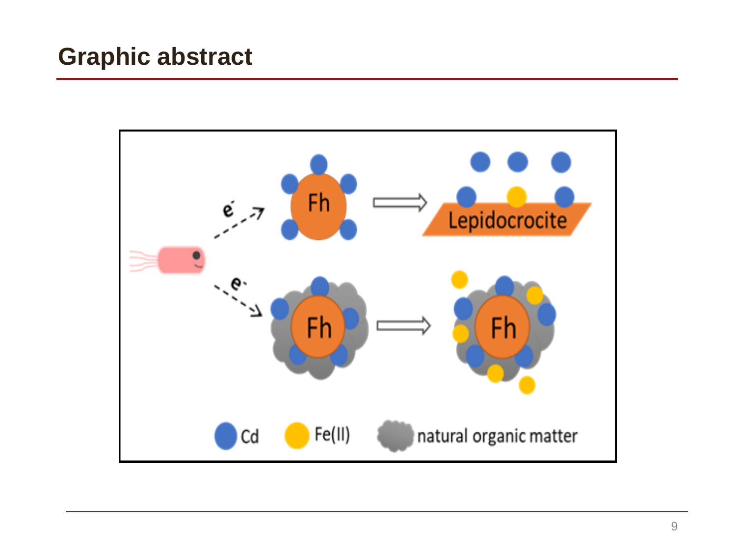#### **Graphic abstract**